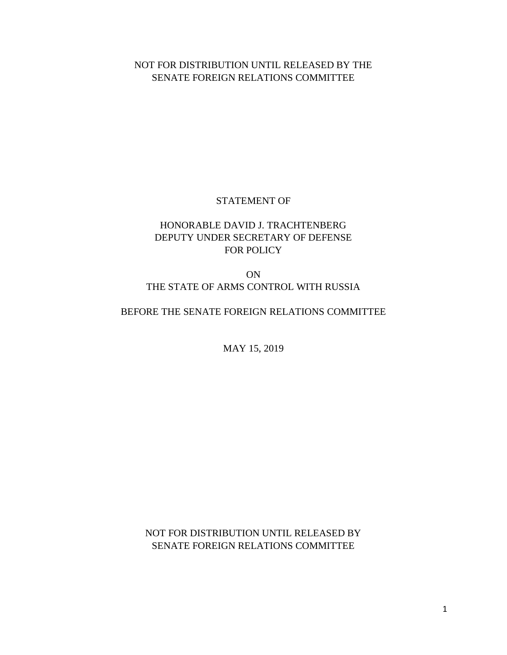## NOT FOR DISTRIBUTION UNTIL RELEASED BY THE SENATE FOREIGN RELATIONS COMMITTEE

#### STATEMENT OF

### HONORABLE DAVID J. TRACHTENBERG DEPUTY UNDER SECRETARY OF DEFENSE FOR POLICY

ON THE STATE OF ARMS CONTROL WITH RUSSIA

#### BEFORE THE SENATE FOREIGN RELATIONS COMMITTEE

MAY 15, 2019

NOT FOR DISTRIBUTION UNTIL RELEASED BY SENATE FOREIGN RELATIONS COMMITTEE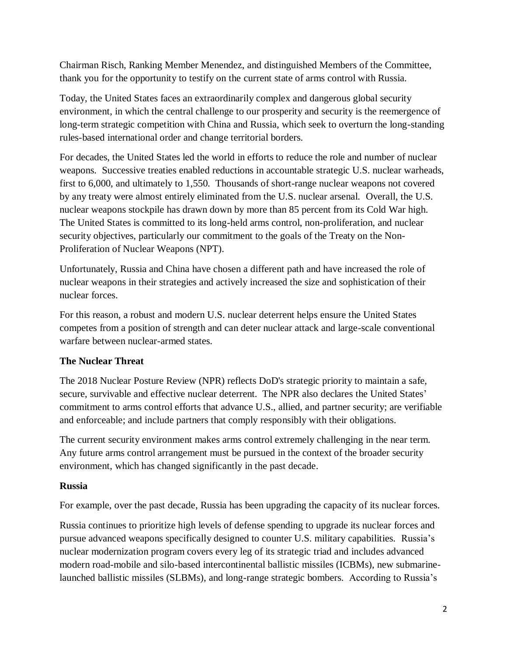Chairman Risch, Ranking Member Menendez, and distinguished Members of the Committee, thank you for the opportunity to testify on the current state of arms control with Russia.

Today, the United States faces an extraordinarily complex and dangerous global security environment, in which the central challenge to our prosperity and security is the reemergence of long-term strategic competition with China and Russia, which seek to overturn the long-standing rules-based international order and change territorial borders.

For decades, the United States led the world in efforts to reduce the role and number of nuclear weapons. Successive treaties enabled reductions in accountable strategic U.S. nuclear warheads, first to 6,000, and ultimately to 1,550. Thousands of short-range nuclear weapons not covered by any treaty were almost entirely eliminated from the U.S. nuclear arsenal. Overall, the U.S. nuclear weapons stockpile has drawn down by more than 85 percent from its Cold War high. The United States is committed to its long-held arms control, non-proliferation, and nuclear security objectives, particularly our commitment to the goals of the Treaty on the Non-Proliferation of Nuclear Weapons (NPT).

Unfortunately, Russia and China have chosen a different path and have increased the role of nuclear weapons in their strategies and actively increased the size and sophistication of their nuclear forces.

For this reason, a robust and modern U.S. nuclear deterrent helps ensure the United States competes from a position of strength and can deter nuclear attack and large-scale conventional warfare between nuclear-armed states.

## **The Nuclear Threat**

The 2018 Nuclear Posture Review (NPR) reflects DoD's strategic priority to maintain a safe, secure, survivable and effective nuclear deterrent. The NPR also declares the United States' commitment to arms control efforts that advance U.S., allied, and partner security; are verifiable and enforceable; and include partners that comply responsibly with their obligations.

The current security environment makes arms control extremely challenging in the near term. Any future arms control arrangement must be pursued in the context of the broader security environment, which has changed significantly in the past decade.

#### **Russia**

For example, over the past decade, Russia has been upgrading the capacity of its nuclear forces.

Russia continues to prioritize high levels of defense spending to upgrade its nuclear forces and pursue advanced weapons specifically designed to counter U.S. military capabilities. Russia's nuclear modernization program covers every leg of its strategic triad and includes advanced modern road-mobile and silo-based intercontinental ballistic missiles (ICBMs), new submarinelaunched ballistic missiles (SLBMs), and long-range strategic bombers. According to Russia's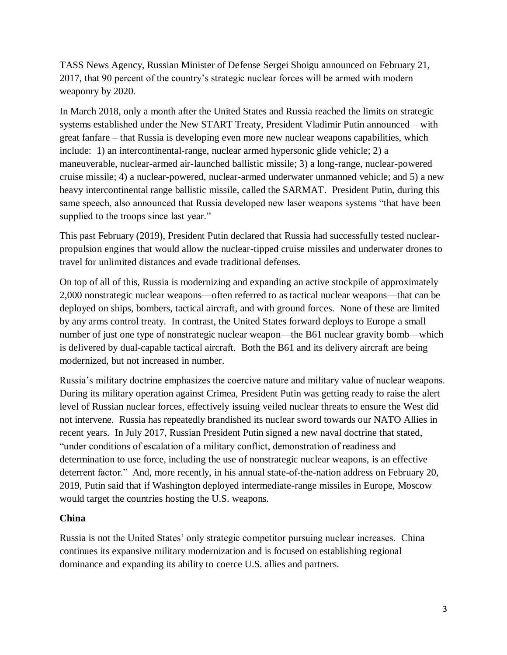TASS News Agency, Russian Minister of Defense Sergei Shoigu announced on February 21, 2017, that 90 percent of the country's strategic nuclear forces will be armed with modern weaponry by 2020.

In March 2018, only a month after the United States and Russia reached the limits on strategic systems established under the New START Treaty, President Vladimir Putin announced – with great fanfare – that Russia is developing even more new nuclear weapons capabilities, which include: 1) an intercontinental-range, nuclear armed hypersonic glide vehicle; 2) a maneuverable, nuclear-armed air-launched ballistic missile; 3) a long-range, nuclear-powered cruise missile; 4) a nuclear-powered, nuclear-armed underwater unmanned vehicle; and 5) a new heavy intercontinental range ballistic missile, called the SARMAT. President Putin, during this same speech, also announced that Russia developed new laser weapons systems "that have been supplied to the troops since last year."

This past February (2019), President Putin declared that Russia had successfully tested nuclearpropulsion engines that would allow the nuclear-tipped cruise missiles and underwater drones to travel for unlimited distances and evade traditional defenses.

On top of all of this, Russia is modernizing and expanding an active stockpile of approximately 2,000 nonstrategic nuclear weapons—often referred to as tactical nuclear weapons—that can be deployed on ships, bombers, tactical aircraft, and with ground forces. None of these are limited by any arms control treaty. In contrast, the United States forward deploys to Europe a small number of just one type of nonstrategic nuclear weapon—the B61 nuclear gravity bomb—which is delivered by dual-capable tactical aircraft. Both the B61 and its delivery aircraft are being modernized, but not increased in number.

Russia's military doctrine emphasizes the coercive nature and military value of nuclear weapons. During its military operation against Crimea, President Putin was getting ready to raise the alert level of Russian nuclear forces, effectively issuing veiled nuclear threats to ensure the West did not intervene. Russia has repeatedly brandished its nuclear sword towards our NATO Allies in recent years. In July 2017, Russian President Putin signed a new naval doctrine that stated, "under conditions of escalation of a military conflict, demonstration of readiness and determination to use force, including the use of nonstrategic nuclear weapons, is an effective deterrent factor." And, more recently, in his annual state-of-the-nation address on February 20, 2019, Putin said that if Washington deployed intermediate-range missiles in Europe, Moscow would target the countries hosting the U.S. weapons.

#### **China**

Russia is not the United States' only strategic competitor pursuing nuclear increases. China continues its expansive military modernization and is focused on establishing regional dominance and expanding its ability to coerce U.S. allies and partners.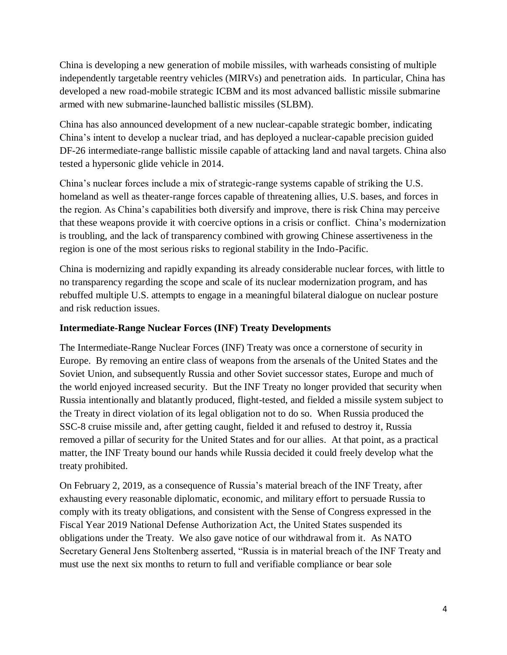China is developing a new generation of mobile missiles, with warheads consisting of multiple independently targetable reentry vehicles (MIRVs) and penetration aids. In particular, China has developed a new road-mobile strategic ICBM and its most advanced ballistic missile submarine armed with new submarine-launched ballistic missiles (SLBM).

China has also announced development of a new nuclear-capable strategic bomber, indicating China's intent to develop a nuclear triad, and has deployed a nuclear-capable precision guided DF-26 intermediate-range ballistic missile capable of attacking land and naval targets. China also tested a hypersonic glide vehicle in 2014.

China's nuclear forces include a mix of strategic-range systems capable of striking the U.S. homeland as well as theater-range forces capable of threatening allies, U.S. bases, and forces in the region. As China's capabilities both diversify and improve, there is risk China may perceive that these weapons provide it with coercive options in a crisis or conflict. China's modernization is troubling, and the lack of transparency combined with growing Chinese assertiveness in the region is one of the most serious risks to regional stability in the Indo-Pacific.

China is modernizing and rapidly expanding its already considerable nuclear forces, with little to no transparency regarding the scope and scale of its nuclear modernization program, and has rebuffed multiple U.S. attempts to engage in a meaningful bilateral dialogue on nuclear posture and risk reduction issues.

#### **Intermediate-Range Nuclear Forces (INF) Treaty Developments**

The Intermediate-Range Nuclear Forces (INF) Treaty was once a cornerstone of security in Europe. By removing an entire class of weapons from the arsenals of the United States and the Soviet Union, and subsequently Russia and other Soviet successor states, Europe and much of the world enjoyed increased security. But the INF Treaty no longer provided that security when Russia intentionally and blatantly produced, flight-tested, and fielded a missile system subject to the Treaty in direct violation of its legal obligation not to do so. When Russia produced the SSC-8 cruise missile and, after getting caught, fielded it and refused to destroy it, Russia removed a pillar of security for the United States and for our allies. At that point, as a practical matter, the INF Treaty bound our hands while Russia decided it could freely develop what the treaty prohibited.

On February 2, 2019, as a consequence of Russia's material breach of the INF Treaty, after exhausting every reasonable diplomatic, economic, and military effort to persuade Russia to comply with its treaty obligations, and consistent with the Sense of Congress expressed in the Fiscal Year 2019 National Defense Authorization Act, the United States suspended its obligations under the Treaty. We also gave notice of our withdrawal from it. As NATO Secretary General Jens Stoltenberg asserted, "Russia is in material breach of the INF Treaty and must use the next six months to return to full and verifiable compliance or bear sole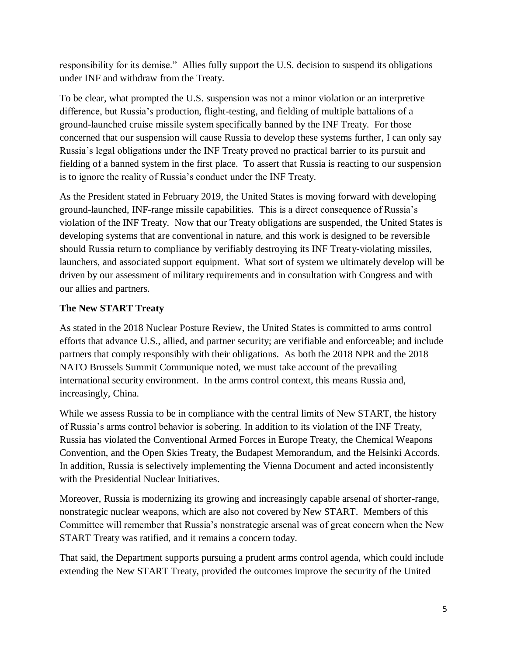responsibility for its demise." Allies fully support the U.S. decision to suspend its obligations under INF and withdraw from the Treaty.

To be clear, what prompted the U.S. suspension was not a minor violation or an interpretive difference, but Russia's production, flight-testing, and fielding of multiple battalions of a ground-launched cruise missile system specifically banned by the INF Treaty. For those concerned that our suspension will cause Russia to develop these systems further, I can only say Russia's legal obligations under the INF Treaty proved no practical barrier to its pursuit and fielding of a banned system in the first place. To assert that Russia is reacting to our suspension is to ignore the reality of Russia's conduct under the INF Treaty.

As the President stated in February 2019, the United States is moving forward with developing ground-launched, INF-range missile capabilities. This is a direct consequence of Russia's violation of the INF Treaty. Now that our Treaty obligations are suspended, the United States is developing systems that are conventional in nature, and this work is designed to be reversible should Russia return to compliance by verifiably destroying its INF Treaty-violating missiles, launchers, and associated support equipment. What sort of system we ultimately develop will be driven by our assessment of military requirements and in consultation with Congress and with our allies and partners.

# **The New START Treaty**

As stated in the 2018 Nuclear Posture Review, the United States is committed to arms control efforts that advance U.S., allied, and partner security; are verifiable and enforceable; and include partners that comply responsibly with their obligations. As both the 2018 NPR and the 2018 NATO Brussels Summit Communique noted, we must take account of the prevailing international security environment. In the arms control context, this means Russia and, increasingly, China.

While we assess Russia to be in compliance with the central limits of New START, the history of Russia's arms control behavior is sobering. In addition to its violation of the INF Treaty, Russia has violated the Conventional Armed Forces in Europe Treaty, the Chemical Weapons Convention, and the Open Skies Treaty, the Budapest Memorandum, and the Helsinki Accords. In addition, Russia is selectively implementing the Vienna Document and acted inconsistently with the Presidential Nuclear Initiatives.

Moreover, Russia is modernizing its growing and increasingly capable arsenal of shorter-range, nonstrategic nuclear weapons, which are also not covered by New START. Members of this Committee will remember that Russia's nonstrategic arsenal was of great concern when the New START Treaty was ratified, and it remains a concern today.

That said, the Department supports pursuing a prudent arms control agenda, which could include extending the New START Treaty, provided the outcomes improve the security of the United